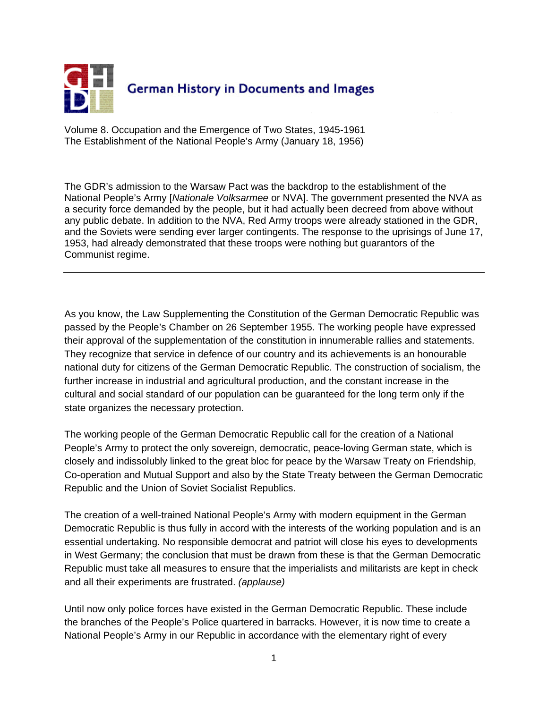

Volume 8. Occupation and the Emergence of Two States, 1945-1961 The Establishment of the National People's Army (January 18, 1956)

The GDR's admission to the Warsaw Pact was the backdrop to the establishment of the National People's Army [*Nationale Volksarmee* or NVA]. The government presented the NVA as a security force demanded by the people, but it had actually been decreed from above without any public debate. In addition to the NVA, Red Army troops were already stationed in the GDR, and the Soviets were sending ever larger contingents. The response to the uprisings of June 17, 1953, had already demonstrated that these troops were nothing but guarantors of the Communist regime.

As you know, the Law Supplementing the Constitution of the German Democratic Republic was passed by the People's Chamber on 26 September 1955. The working people have expressed their approval of the supplementation of the constitution in innumerable rallies and statements. They recognize that service in defence of our country and its achievements is an honourable national duty for citizens of the German Democratic Republic. The construction of socialism, the further increase in industrial and agricultural production, and the constant increase in the cultural and social standard of our population can be guaranteed for the long term only if the state organizes the necessary protection.

The working people of the German Democratic Republic call for the creation of a National People's Army to protect the only sovereign, democratic, peace-loving German state, which is closely and indissolubly linked to the great bloc for peace by the Warsaw Treaty on Friendship, Co-operation and Mutual Support and also by the State Treaty between the German Democratic Republic and the Union of Soviet Socialist Republics.

The creation of a well-trained National People's Army with modern equipment in the German Democratic Republic is thus fully in accord with the interests of the working population and is an essential undertaking. No responsible democrat and patriot will close his eyes to developments in West Germany; the conclusion that must be drawn from these is that the German Democratic Republic must take all measures to ensure that the imperialists and militarists are kept in check and all their experiments are frustrated. *(applause)* 

Until now only police forces have existed in the German Democratic Republic. These include the branches of the People's Police quartered in barracks. However, it is now time to create a National People's Army in our Republic in accordance with the elementary right of every